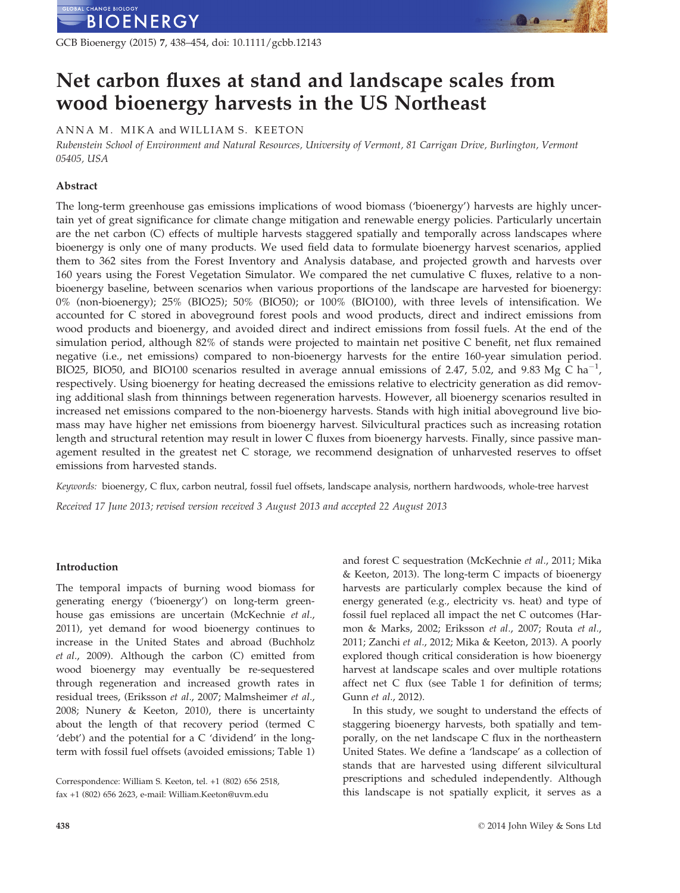GCB Bioenergy (2015) 7, 438–454, doi: 10.1111/gcbb.12143

# Net carbon fluxes at stand and landscape scales from wood bioenergy harvests in the US Northeast

ANNA M. MIKA and WILLIAM S. KEETON

Rubenstein School of Environment and Natural Resources, University of Vermont, 81 Carrigan Drive, Burlington, Vermont 05405, USA

# Abstract

The long-term greenhouse gas emissions implications of wood biomass ('bioenergy') harvests are highly uncertain yet of great significance for climate change mitigation and renewable energy policies. Particularly uncertain are the net carbon (C) effects of multiple harvests staggered spatially and temporally across landscapes where bioenergy is only one of many products. We used field data to formulate bioenergy harvest scenarios, applied them to 362 sites from the Forest Inventory and Analysis database, and projected growth and harvests over 160 years using the Forest Vegetation Simulator. We compared the net cumulative C fluxes, relative to a nonbioenergy baseline, between scenarios when various proportions of the landscape are harvested for bioenergy: 0% (non-bioenergy); 25% (BIO25); 50% (BIO50); or 100% (BIO100), with three levels of intensification. We accounted for C stored in aboveground forest pools and wood products, direct and indirect emissions from wood products and bioenergy, and avoided direct and indirect emissions from fossil fuels. At the end of the simulation period, although 82% of stands were projected to maintain net positive C benefit, net flux remained negative (i.e., net emissions) compared to non-bioenergy harvests for the entire 160-year simulation period. BIO25, BIO50, and BIO100 scenarios resulted in average annual emissions of 2.47, 5.02, and 9.83 Mg C ha<sup>-1</sup>, respectively. Using bioenergy for heating decreased the emissions relative to electricity generation as did removing additional slash from thinnings between regeneration harvests. However, all bioenergy scenarios resulted in increased net emissions compared to the non-bioenergy harvests. Stands with high initial aboveground live biomass may have higher net emissions from bioenergy harvest. Silvicultural practices such as increasing rotation length and structural retention may result in lower C fluxes from bioenergy harvests. Finally, since passive management resulted in the greatest net C storage, we recommend designation of unharvested reserves to offset emissions from harvested stands.

Keywords: bioenergy, C flux, carbon neutral, fossil fuel offsets, landscape analysis, northern hardwoods, whole-tree harvest

Received 17 June 2013; revised version received 3 August 2013 and accepted 22 August 2013

# Introduction

The temporal impacts of burning wood biomass for generating energy ('bioenergy') on long-term greenhouse gas emissions are uncertain (McKechnie et al., 2011), yet demand for wood bioenergy continues to increase in the United States and abroad (Buchholz et al., 2009). Although the carbon (C) emitted from wood bioenergy may eventually be re-sequestered through regeneration and increased growth rates in residual trees, (Eriksson et al., 2007; Malmsheimer et al., 2008; Nunery & Keeton, 2010), there is uncertainty about the length of that recovery period (termed C 'debt') and the potential for a C 'dividend' in the longterm with fossil fuel offsets (avoided emissions; Table 1)

Correspondence: William S. Keeton, tel. +1 (802) 656 2518, fax +1 (802) 656 2623, e-mail: William.Keeton@uvm.edu

and forest C sequestration (McKechnie et al., 2011; Mika & Keeton, 2013). The long-term C impacts of bioenergy harvests are particularly complex because the kind of energy generated (e.g., electricity vs. heat) and type of fossil fuel replaced all impact the net C outcomes (Harmon & Marks, 2002; Eriksson et al., 2007; Routa et al., 2011; Zanchi et al., 2012; Mika & Keeton, 2013). A poorly explored though critical consideration is how bioenergy harvest at landscape scales and over multiple rotations affect net C flux (see Table 1 for definition of terms; Gunn et al., 2012).

In this study, we sought to understand the effects of staggering bioenergy harvests, both spatially and temporally, on the net landscape C flux in the northeastern United States. We define a 'landscape' as a collection of stands that are harvested using different silvicultural prescriptions and scheduled independently. Although this landscape is not spatially explicit, it serves as a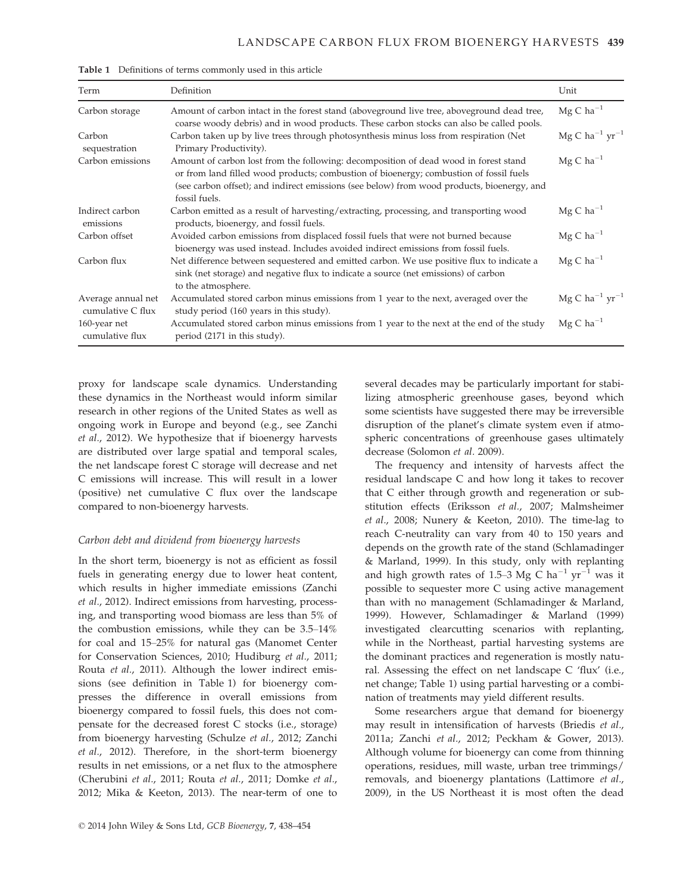| Term                                    | Definition                                                                                                                                                                                                                                                                                    | Unit                                     |
|-----------------------------------------|-----------------------------------------------------------------------------------------------------------------------------------------------------------------------------------------------------------------------------------------------------------------------------------------------|------------------------------------------|
| Carbon storage                          | Amount of carbon intact in the forest stand (aboveground live tree, aboveground dead tree,<br>coarse woody debris) and in wood products. These carbon stocks can also be called pools.                                                                                                        | $Mg C ha^{-1}$                           |
| Carbon<br>sequestration                 | Carbon taken up by live trees through photosynthesis minus loss from respiration (Net<br>Primary Productivity).                                                                                                                                                                               | $Mg C$ ha <sup>-1</sup> yr <sup>-1</sup> |
| Carbon emissions                        | Amount of carbon lost from the following: decomposition of dead wood in forest stand<br>or from land filled wood products; combustion of bioenergy; combustion of fossil fuels<br>(see carbon offset); and indirect emissions (see below) from wood products, bioenergy, and<br>fossil fuels. | $MgC$ ha <sup>-1</sup>                   |
| Indirect carbon<br>emissions            | Carbon emitted as a result of harvesting/extracting, processing, and transporting wood<br>products, bioenergy, and fossil fuels.                                                                                                                                                              | $MgC$ ha <sup>-1</sup>                   |
| Carbon offset                           | Avoided carbon emissions from displaced fossil fuels that were not burned because<br>bioenergy was used instead. Includes avoided indirect emissions from fossil fuels.                                                                                                                       | $Mg C$ ha <sup>-1</sup>                  |
| Carbon flux                             | Net difference between sequestered and emitted carbon. We use positive flux to indicate a<br>sink (net storage) and negative flux to indicate a source (net emissions) of carbon<br>to the atmosphere.                                                                                        | $Mg C ha^{-1}$                           |
| Average annual net<br>cumulative C flux | Accumulated stored carbon minus emissions from 1 year to the next, averaged over the<br>study period (160 years in this study).                                                                                                                                                               | $Mg C$ ha <sup>-1</sup> yr <sup>-1</sup> |
| 160-year net<br>cumulative flux         | Accumulated stored carbon minus emissions from 1 year to the next at the end of the study<br>period (2171 in this study).                                                                                                                                                                     | $Mg C ha^{-1}$                           |

Table 1 Definitions of terms commonly used in this article

proxy for landscape scale dynamics. Understanding these dynamics in the Northeast would inform similar research in other regions of the United States as well as ongoing work in Europe and beyond (e.g., see Zanchi et al., 2012). We hypothesize that if bioenergy harvests are distributed over large spatial and temporal scales, the net landscape forest C storage will decrease and net C emissions will increase. This will result in a lower (positive) net cumulative C flux over the landscape compared to non-bioenergy harvests.

## Carbon debt and dividend from bioenergy harvests

In the short term, bioenergy is not as efficient as fossil fuels in generating energy due to lower heat content, which results in higher immediate emissions (Zanchi et al., 2012). Indirect emissions from harvesting, processing, and transporting wood biomass are less than 5% of the combustion emissions, while they can be 3.5–14% for coal and 15–25% for natural gas (Manomet Center for Conservation Sciences, 2010; Hudiburg et al., 2011; Routa et al., 2011). Although the lower indirect emissions (see definition in Table 1) for bioenergy compresses the difference in overall emissions from bioenergy compared to fossil fuels, this does not compensate for the decreased forest C stocks (i.e., storage) from bioenergy harvesting (Schulze et al., 2012; Zanchi et al., 2012). Therefore, in the short-term bioenergy results in net emissions, or a net flux to the atmosphere (Cherubini et al., 2011; Routa et al., 2011; Domke et al., 2012; Mika & Keeton, 2013). The near-term of one to several decades may be particularly important for stabilizing atmospheric greenhouse gases, beyond which some scientists have suggested there may be irreversible disruption of the planet's climate system even if atmospheric concentrations of greenhouse gases ultimately decrease (Solomon et al. 2009).

The frequency and intensity of harvests affect the residual landscape C and how long it takes to recover that C either through growth and regeneration or substitution effects (Eriksson et al., 2007; Malmsheimer et al., 2008; Nunery & Keeton, 2010). The time-lag to reach C-neutrality can vary from 40 to 150 years and depends on the growth rate of the stand (Schlamadinger & Marland, 1999). In this study, only with replanting and high growth rates of 1.5–3 Mg C ha<sup>-1</sup> yr<sup>-1</sup> was it possible to sequester more C using active management than with no management (Schlamadinger & Marland, 1999). However, Schlamadinger & Marland (1999) investigated clearcutting scenarios with replanting, while in the Northeast, partial harvesting systems are the dominant practices and regeneration is mostly natural. Assessing the effect on net landscape C 'flux' (i.e., net change; Table 1) using partial harvesting or a combination of treatments may yield different results.

Some researchers argue that demand for bioenergy may result in intensification of harvests (Briedis et al., 2011a; Zanchi et al., 2012; Peckham & Gower, 2013). Although volume for bioenergy can come from thinning operations, residues, mill waste, urban tree trimmings/ removals, and bioenergy plantations (Lattimore et al., 2009), in the US Northeast it is most often the dead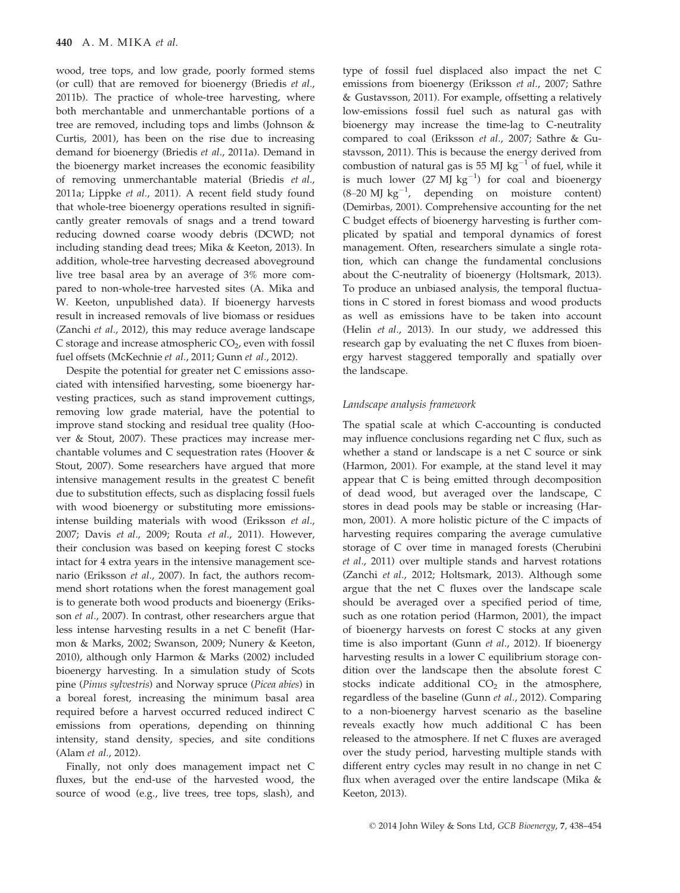wood, tree tops, and low grade, poorly formed stems (or cull) that are removed for bioenergy (Briedis et al., 2011b). The practice of whole-tree harvesting, where both merchantable and unmerchantable portions of a tree are removed, including tops and limbs (Johnson & Curtis, 2001), has been on the rise due to increasing demand for bioenergy (Briedis et al., 2011a). Demand in the bioenergy market increases the economic feasibility of removing unmerchantable material (Briedis et al., 2011a; Lippke et al., 2011). A recent field study found that whole-tree bioenergy operations resulted in significantly greater removals of snags and a trend toward reducing downed coarse woody debris (DCWD; not including standing dead trees; Mika & Keeton, 2013). In addition, whole-tree harvesting decreased aboveground live tree basal area by an average of 3% more compared to non-whole-tree harvested sites (A. Mika and W. Keeton, unpublished data). If bioenergy harvests result in increased removals of live biomass or residues (Zanchi et al., 2012), this may reduce average landscape C storage and increase atmospheric  $CO<sub>2</sub>$ , even with fossil fuel offsets (McKechnie et al., 2011; Gunn et al., 2012).

Despite the potential for greater net C emissions associated with intensified harvesting, some bioenergy harvesting practices, such as stand improvement cuttings, removing low grade material, have the potential to improve stand stocking and residual tree quality (Hoover & Stout, 2007). These practices may increase merchantable volumes and C sequestration rates (Hoover & Stout, 2007). Some researchers have argued that more intensive management results in the greatest C benefit due to substitution effects, such as displacing fossil fuels with wood bioenergy or substituting more emissionsintense building materials with wood (Eriksson et al., 2007; Davis et al., 2009; Routa et al., 2011). However, their conclusion was based on keeping forest C stocks intact for 4 extra years in the intensive management scenario (Eriksson et al., 2007). In fact, the authors recommend short rotations when the forest management goal is to generate both wood products and bioenergy (Eriksson et al., 2007). In contrast, other researchers argue that less intense harvesting results in a net C benefit (Harmon & Marks, 2002; Swanson, 2009; Nunery & Keeton, 2010), although only Harmon & Marks (2002) included bioenergy harvesting. In a simulation study of Scots pine (Pinus sylvestris) and Norway spruce (Picea abies) in a boreal forest, increasing the minimum basal area required before a harvest occurred reduced indirect C emissions from operations, depending on thinning intensity, stand density, species, and site conditions (Alam et al., 2012).

Finally, not only does management impact net C fluxes, but the end-use of the harvested wood, the source of wood (e.g., live trees, tree tops, slash), and type of fossil fuel displaced also impact the net C emissions from bioenergy (Eriksson et al., 2007; Sathre & Gustavsson, 2011). For example, offsetting a relatively low-emissions fossil fuel such as natural gas with bioenergy may increase the time-lag to C-neutrality compared to coal (Eriksson et al., 2007; Sathre & Gustavsson, 2011). This is because the energy derived from combustion of natural gas is 55 MJ  $kg^{-1}$  of fuel, while it is much lower  $(27 \text{ MJ kg}^{-1})$  for coal and bioenergy  $(8-20 \text{ MJ kg}^{-1})$ , depending on moisture content) (Demirbas, 2001). Comprehensive accounting for the net C budget effects of bioenergy harvesting is further complicated by spatial and temporal dynamics of forest management. Often, researchers simulate a single rotation, which can change the fundamental conclusions about the C-neutrality of bioenergy (Holtsmark, 2013). To produce an unbiased analysis, the temporal fluctuations in C stored in forest biomass and wood products as well as emissions have to be taken into account (Helin et al., 2013). In our study, we addressed this research gap by evaluating the net C fluxes from bioenergy harvest staggered temporally and spatially over the landscape.

## Landscape analysis framework

The spatial scale at which C-accounting is conducted may influence conclusions regarding net C flux, such as whether a stand or landscape is a net C source or sink (Harmon, 2001). For example, at the stand level it may appear that C is being emitted through decomposition of dead wood, but averaged over the landscape, C stores in dead pools may be stable or increasing (Harmon, 2001). A more holistic picture of the C impacts of harvesting requires comparing the average cumulative storage of C over time in managed forests (Cherubini et al., 2011) over multiple stands and harvest rotations (Zanchi et al., 2012; Holtsmark, 2013). Although some argue that the net C fluxes over the landscape scale should be averaged over a specified period of time, such as one rotation period (Harmon, 2001), the impact of bioenergy harvests on forest C stocks at any given time is also important (Gunn et al., 2012). If bioenergy harvesting results in a lower C equilibrium storage condition over the landscape then the absolute forest C stocks indicate additional  $CO<sub>2</sub>$  in the atmosphere, regardless of the baseline (Gunn et al., 2012). Comparing to a non-bioenergy harvest scenario as the baseline reveals exactly how much additional C has been released to the atmosphere. If net C fluxes are averaged over the study period, harvesting multiple stands with different entry cycles may result in no change in net C flux when averaged over the entire landscape (Mika & Keeton, 2013).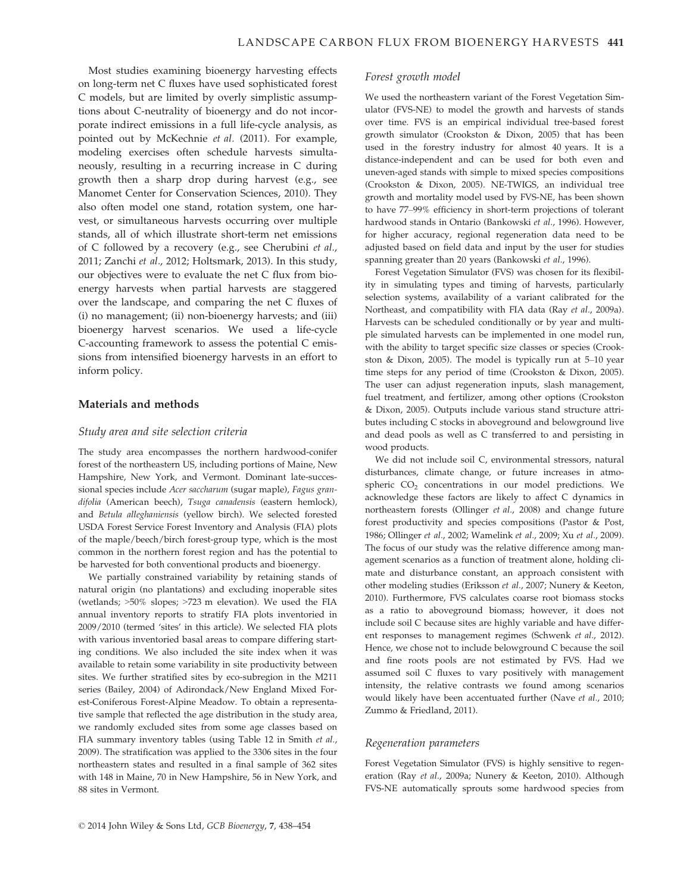Most studies examining bioenergy harvesting effects on long-term net C fluxes have used sophisticated forest C models, but are limited by overly simplistic assumptions about C-neutrality of bioenergy and do not incorporate indirect emissions in a full life-cycle analysis, as pointed out by McKechnie et al. (2011). For example, modeling exercises often schedule harvests simultaneously, resulting in a recurring increase in C during growth then a sharp drop during harvest (e.g., see Manomet Center for Conservation Sciences, 2010). They also often model one stand, rotation system, one harvest, or simultaneous harvests occurring over multiple stands, all of which illustrate short-term net emissions of C followed by a recovery (e.g., see Cherubini et al., 2011; Zanchi et al., 2012; Holtsmark, 2013). In this study, our objectives were to evaluate the net C flux from bioenergy harvests when partial harvests are staggered over the landscape, and comparing the net C fluxes of (i) no management; (ii) non-bioenergy harvests; and (iii) bioenergy harvest scenarios. We used a life-cycle C-accounting framework to assess the potential C emissions from intensified bioenergy harvests in an effort to inform policy.

### Materials and methods

## Study area and site selection criteria

The study area encompasses the northern hardwood-conifer forest of the northeastern US, including portions of Maine, New Hampshire, New York, and Vermont. Dominant late-successional species include Acer saccharum (sugar maple), Fagus grandifolia (American beech), Tsuga canadensis (eastern hemlock), and Betula alleghaniensis (yellow birch). We selected forested USDA Forest Service Forest Inventory and Analysis (FIA) plots of the maple/beech/birch forest-group type, which is the most common in the northern forest region and has the potential to be harvested for both conventional products and bioenergy.

We partially constrained variability by retaining stands of natural origin (no plantations) and excluding inoperable sites (wetlands; >50% slopes; >723 m elevation). We used the FIA annual inventory reports to stratify FIA plots inventoried in 2009/2010 (termed 'sites' in this article). We selected FIA plots with various inventoried basal areas to compare differing starting conditions. We also included the site index when it was available to retain some variability in site productivity between sites. We further stratified sites by eco-subregion in the M211 series (Bailey, 2004) of Adirondack/New England Mixed Forest-Coniferous Forest-Alpine Meadow. To obtain a representative sample that reflected the age distribution in the study area, we randomly excluded sites from some age classes based on FIA summary inventory tables (using Table 12 in Smith et al., 2009). The stratification was applied to the 3306 sites in the four northeastern states and resulted in a final sample of 362 sites with 148 in Maine, 70 in New Hampshire, 56 in New York, and 88 sites in Vermont.

#### Forest growth model

We used the northeastern variant of the Forest Vegetation Simulator (FVS-NE) to model the growth and harvests of stands over time. FVS is an empirical individual tree-based forest growth simulator (Crookston & Dixon, 2005) that has been used in the forestry industry for almost 40 years. It is a distance-independent and can be used for both even and uneven-aged stands with simple to mixed species compositions (Crookston & Dixon, 2005). NE-TWIGS, an individual tree growth and mortality model used by FVS-NE, has been shown to have 77–99% efficiency in short-term projections of tolerant hardwood stands in Ontario (Bankowski et al., 1996). However, for higher accuracy, regional regeneration data need to be adjusted based on field data and input by the user for studies spanning greater than 20 years (Bankowski et al., 1996).

Forest Vegetation Simulator (FVS) was chosen for its flexibility in simulating types and timing of harvests, particularly selection systems, availability of a variant calibrated for the Northeast, and compatibility with FIA data (Ray et al., 2009a). Harvests can be scheduled conditionally or by year and multiple simulated harvests can be implemented in one model run, with the ability to target specific size classes or species (Crookston & Dixon, 2005). The model is typically run at 5–10 year time steps for any period of time (Crookston & Dixon, 2005). The user can adjust regeneration inputs, slash management, fuel treatment, and fertilizer, among other options (Crookston & Dixon, 2005). Outputs include various stand structure attributes including C stocks in aboveground and belowground live and dead pools as well as C transferred to and persisting in wood products.

We did not include soil C, environmental stressors, natural disturbances, climate change, or future increases in atmospheric  $CO<sub>2</sub>$  concentrations in our model predictions. We acknowledge these factors are likely to affect C dynamics in northeastern forests (Ollinger et al., 2008) and change future forest productivity and species compositions (Pastor & Post, 1986; Ollinger et al., 2002; Wamelink et al., 2009; Xu et al., 2009). The focus of our study was the relative difference among management scenarios as a function of treatment alone, holding climate and disturbance constant, an approach consistent with other modeling studies (Eriksson et al., 2007; Nunery & Keeton, 2010). Furthermore, FVS calculates coarse root biomass stocks as a ratio to aboveground biomass; however, it does not include soil C because sites are highly variable and have different responses to management regimes (Schwenk et al., 2012). Hence, we chose not to include belowground C because the soil and fine roots pools are not estimated by FVS. Had we assumed soil C fluxes to vary positively with management intensity, the relative contrasts we found among scenarios would likely have been accentuated further (Nave et al., 2010; Zummo & Friedland, 2011).

### Regeneration parameters

Forest Vegetation Simulator (FVS) is highly sensitive to regeneration (Ray et al., 2009a; Nunery & Keeton, 2010). Although FVS-NE automatically sprouts some hardwood species from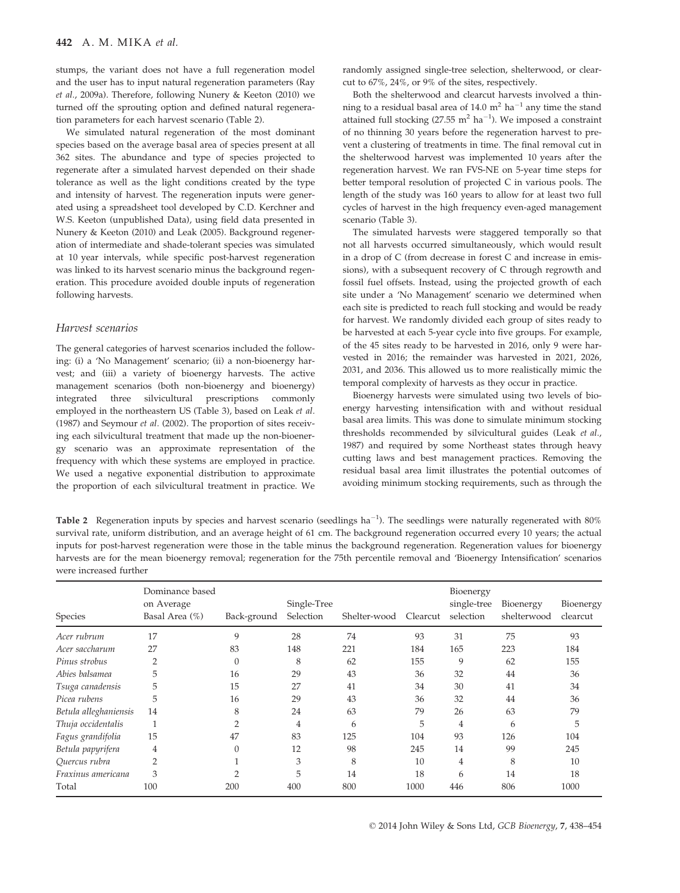stumps, the variant does not have a full regeneration model and the user has to input natural regeneration parameters (Ray et al., 2009a). Therefore, following Nunery & Keeton (2010) we turned off the sprouting option and defined natural regeneration parameters for each harvest scenario (Table 2).

We simulated natural regeneration of the most dominant species based on the average basal area of species present at all 362 sites. The abundance and type of species projected to regenerate after a simulated harvest depended on their shade tolerance as well as the light conditions created by the type and intensity of harvest. The regeneration inputs were generated using a spreadsheet tool developed by C.D. Kerchner and W.S. Keeton (unpublished Data), using field data presented in Nunery & Keeton (2010) and Leak (2005). Background regeneration of intermediate and shade-tolerant species was simulated at 10 year intervals, while specific post-harvest regeneration was linked to its harvest scenario minus the background regeneration. This procedure avoided double inputs of regeneration following harvests.

## Harvest scenarios

The general categories of harvest scenarios included the following: (i) a 'No Management' scenario; (ii) a non-bioenergy harvest; and (iii) a variety of bioenergy harvests. The active management scenarios (both non-bioenergy and bioenergy) integrated three silvicultural prescriptions commonly employed in the northeastern US (Table 3), based on Leak et al. (1987) and Seymour et al. (2002). The proportion of sites receiving each silvicultural treatment that made up the non-bioenergy scenario was an approximate representation of the frequency with which these systems are employed in practice. We used a negative exponential distribution to approximate the proportion of each silvicultural treatment in practice. We

randomly assigned single-tree selection, shelterwood, or clearcut to 67%, 24%, or 9% of the sites, respectively.

Both the shelterwood and clearcut harvests involved a thinning to a residual basal area of 14.0  $m<sup>2</sup>$  ha<sup>-1</sup> any time the stand attained full stocking  $(27.55 \text{ m}^2 \text{ ha}^{-1})$ . We imposed a constraint of no thinning 30 years before the regeneration harvest to prevent a clustering of treatments in time. The final removal cut in the shelterwood harvest was implemented 10 years after the regeneration harvest. We ran FVS-NE on 5-year time steps for better temporal resolution of projected C in various pools. The length of the study was 160 years to allow for at least two full cycles of harvest in the high frequency even-aged management scenario (Table 3).

The simulated harvests were staggered temporally so that not all harvests occurred simultaneously, which would result in a drop of C (from decrease in forest C and increase in emissions), with a subsequent recovery of C through regrowth and fossil fuel offsets. Instead, using the projected growth of each site under a 'No Management' scenario we determined when each site is predicted to reach full stocking and would be ready for harvest. We randomly divided each group of sites ready to be harvested at each 5-year cycle into five groups. For example, of the 45 sites ready to be harvested in 2016, only 9 were harvested in 2016; the remainder was harvested in 2021, 2026, 2031, and 2036. This allowed us to more realistically mimic the temporal complexity of harvests as they occur in practice.

Bioenergy harvests were simulated using two levels of bioenergy harvesting intensification with and without residual basal area limits. This was done to simulate minimum stocking thresholds recommended by silvicultural guides (Leak et al., 1987) and required by some Northeast states through heavy cutting laws and best management practices. Removing the residual basal area limit illustrates the potential outcomes of avoiding minimum stocking requirements, such as through the

Table 2 Regeneration inputs by species and harvest scenario (seedlings  $ha^{-1}$ ). The seedlings were naturally regenerated with 80% survival rate, uniform distribution, and an average height of 61 cm. The background regeneration occurred every 10 years; the actual inputs for post-harvest regeneration were those in the table minus the background regeneration. Regeneration values for bioenergy harvests are for the mean bioenergy removal; regeneration for the 75th percentile removal and 'Bioenergy Intensification' scenarios were increased further

| Species               | Dominance based<br>on Average<br>Basal Area (%) | Back-ground    | Single-Tree<br>Selection | Shelter-wood | Clearcut | Bioenergy<br>single-tree<br>selection | Bioenergy<br>shelterwood | Bioenergy<br>clearcut |
|-----------------------|-------------------------------------------------|----------------|--------------------------|--------------|----------|---------------------------------------|--------------------------|-----------------------|
| Acer rubrum           | 17                                              | 9              | 28                       | 74           | 93       | 31                                    | 75                       | 93                    |
| Acer saccharum        | 27                                              | 83             | 148                      | 221          | 184      | 165                                   | 223                      | 184                   |
| Pinus strobus         |                                                 | $\Omega$       | 8                        | 62           | 155      | 9                                     | 62                       | 155                   |
| Abies balsamea        | 5                                               | 16             | 29                       | 43           | 36       | 32                                    | 44                       | 36                    |
| Tsuga canadensis      | 5                                               | 15             | 27                       | 41           | 34       | 30                                    | 41                       | 34                    |
| Picea rubens          | 5                                               | 16             | 29                       | 43           | 36       | 32                                    | 44                       | 36                    |
| Betula alleghaniensis | 14                                              | 8              | 24                       | 63           | 79       | 26                                    | 63                       | 79                    |
| Thuja occidentalis    |                                                 | $\overline{2}$ | $\overline{4}$           | 6            | 5        | 4                                     | 6                        | 5                     |
| Fagus grandifolia     | 15                                              | 47             | 83                       | 125          | 104      | 93                                    | 126                      | 104                   |
| Betula papyrifera     | 4                                               | $\Omega$       | 12                       | 98           | 245      | 14                                    | 99                       | 245                   |
| Quercus rubra         | $\overline{2}$                                  |                | 3                        | 8            | 10       | 4                                     | 8                        | 10                    |
| Fraxinus americana    | 3                                               |                | 5                        | 14           | 18       | 6                                     | 14                       | 18                    |
| Total                 | 100                                             | 200            | 400                      | 800          | 1000     | 446                                   | 806                      | 1000                  |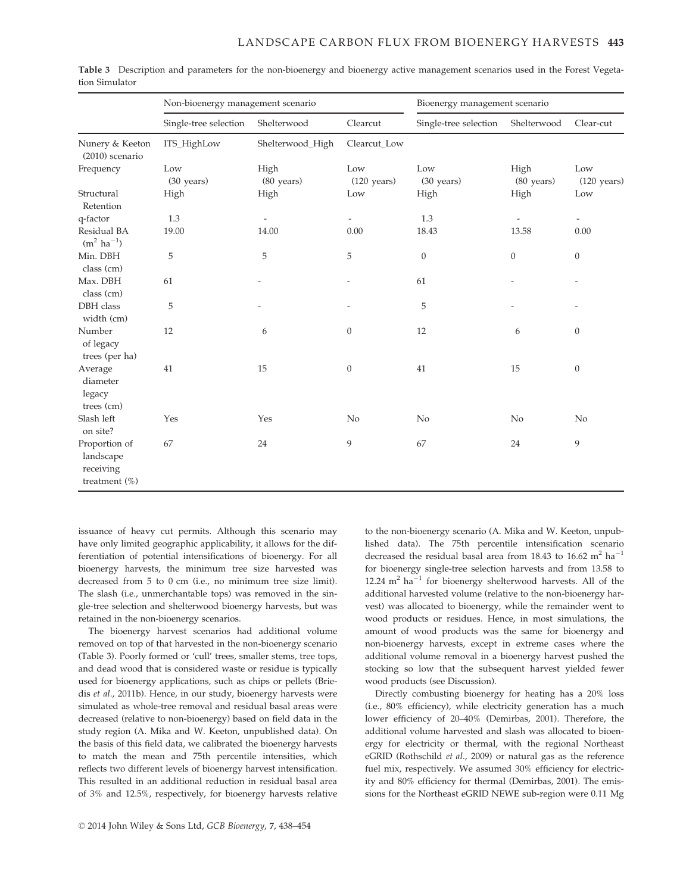|                                                             | Non-bioenergy management scenario |                              |                              | Bioenergy management scenario |                    |                              |  |
|-------------------------------------------------------------|-----------------------------------|------------------------------|------------------------------|-------------------------------|--------------------|------------------------------|--|
|                                                             | Single-tree selection             | Shelterwood                  | Clearcut                     | Single-tree selection         | Shelterwood        | Clear-cut                    |  |
| Nunery & Keeton<br>$(2010)$ scenario                        | ITS_HighLow                       | Shelterwood_High             | Clearcut Low                 |                               |                    |                              |  |
| Frequency                                                   | Low<br>(30 years)                 | High<br>$(80 \text{ years})$ | Low<br>$(120 \text{ years})$ | Low<br>(30 years)             | High<br>(80 years) | Low<br>$(120 \text{ years})$ |  |
| Structural<br>Retention                                     | High                              | High                         | Low                          | High                          | High               | Low                          |  |
| q-factor                                                    | 1.3                               |                              | $\overline{\phantom{0}}$     | 1.3                           |                    | $\overline{\phantom{0}}$     |  |
| Residual BA<br>$(m^2 \text{ ha}^{-1})$                      | 19.00                             | 14.00                        | 0.00                         | 18.43                         | 13.58              | 0.00                         |  |
| Min. DBH<br>class (cm)                                      | 5                                 | 5                            | 5                            | $\theta$                      | $\mathbf{0}$       | $\boldsymbol{0}$             |  |
| Max. DBH<br>class (cm)                                      | 61                                |                              |                              | 61                            |                    |                              |  |
| DBH class<br>width (cm)                                     | 5                                 |                              |                              | 5                             |                    |                              |  |
| Number<br>of legacy<br>trees (per ha)                       | 12                                | 6                            | $\boldsymbol{0}$             | 12                            | 6                  | $\theta$                     |  |
| Average<br>diameter<br>legacy<br>trees (cm)                 | 41                                | 15                           | $\boldsymbol{0}$             | 41                            | 15                 | $\boldsymbol{0}$             |  |
| Slash left<br>on site?                                      | Yes                               | Yes                          | No                           | No                            | No                 | No                           |  |
| Proportion of<br>landscape<br>receiving<br>treatment $(\%)$ | 67                                | 24                           | 9                            | 67                            | 24                 | 9                            |  |

Table 3 Description and parameters for the non-bioenergy and bioenergy active management scenarios used in the Forest Vegetation Simulator

issuance of heavy cut permits. Although this scenario may have only limited geographic applicability, it allows for the differentiation of potential intensifications of bioenergy. For all bioenergy harvests, the minimum tree size harvested was decreased from 5 to 0 cm (i.e., no minimum tree size limit). The slash (i.e., unmerchantable tops) was removed in the single-tree selection and shelterwood bioenergy harvests, but was retained in the non-bioenergy scenarios.

The bioenergy harvest scenarios had additional volume removed on top of that harvested in the non-bioenergy scenario (Table 3). Poorly formed or 'cull' trees, smaller stems, tree tops, and dead wood that is considered waste or residue is typically used for bioenergy applications, such as chips or pellets (Briedis et al., 2011b). Hence, in our study, bioenergy harvests were simulated as whole-tree removal and residual basal areas were decreased (relative to non-bioenergy) based on field data in the study region (A. Mika and W. Keeton, unpublished data). On the basis of this field data, we calibrated the bioenergy harvests to match the mean and 75th percentile intensities, which reflects two different levels of bioenergy harvest intensification. This resulted in an additional reduction in residual basal area of 3% and 12.5%, respectively, for bioenergy harvests relative to the non-bioenergy scenario (A. Mika and W. Keeton, unpublished data). The 75th percentile intensification scenario decreased the residual basal area from 18.43 to 16.62 m<sup>2</sup> ha<sup>-1</sup> for bioenergy single-tree selection harvests and from 13.58 to 12.24  $m^2$  ha<sup>-1</sup> for bioenergy shelterwood harvests. All of the additional harvested volume (relative to the non-bioenergy harvest) was allocated to bioenergy, while the remainder went to wood products or residues. Hence, in most simulations, the amount of wood products was the same for bioenergy and non-bioenergy harvests, except in extreme cases where the additional volume removal in a bioenergy harvest pushed the stocking so low that the subsequent harvest yielded fewer wood products (see Discussion).

Directly combusting bioenergy for heating has a 20% loss (i.e., 80% efficiency), while electricity generation has a much lower efficiency of 20–40% (Demirbas, 2001). Therefore, the additional volume harvested and slash was allocated to bioenergy for electricity or thermal, with the regional Northeast eGRID (Rothschild et al., 2009) or natural gas as the reference fuel mix, respectively. We assumed 30% efficiency for electricity and 80% efficiency for thermal (Demirbas, 2001). The emissions for the Northeast eGRID NEWE sub-region were 0.11 Mg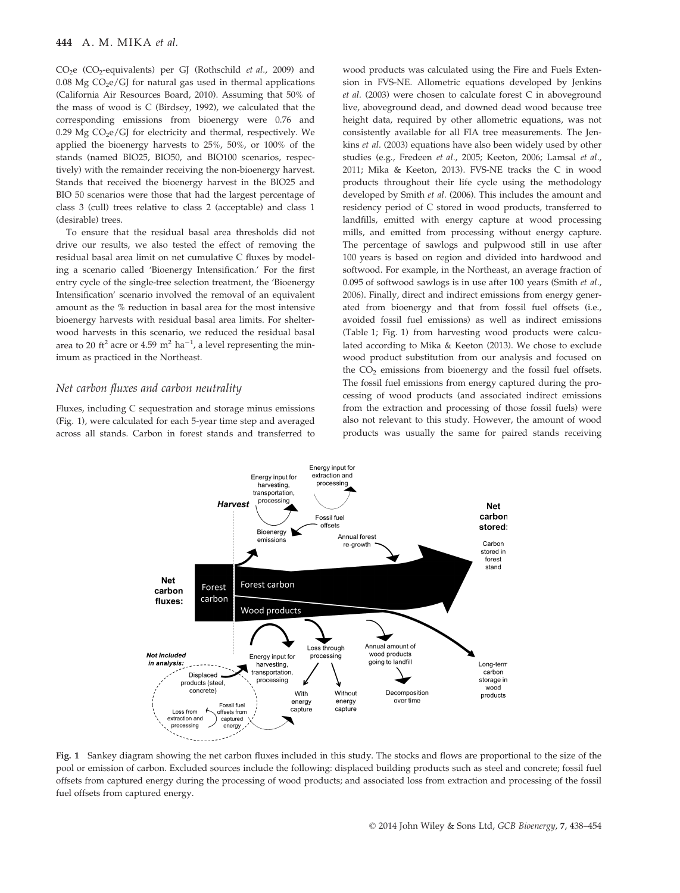## 444 A. M. MIKA et al.

CO<sub>2</sub>e (CO<sub>2</sub>-equivalents) per GJ (Rothschild et al., 2009) and  $0.08$  Mg CO<sub>2</sub>e/GJ for natural gas used in thermal applications (California Air Resources Board, 2010). Assuming that 50% of the mass of wood is C (Birdsey, 1992), we calculated that the corresponding emissions from bioenergy were 0.76 and 0.29 Mg  $CO<sub>2</sub>e/G$  for electricity and thermal, respectively. We applied the bioenergy harvests to 25%, 50%, or 100% of the stands (named BIO25, BIO50, and BIO100 scenarios, respectively) with the remainder receiving the non-bioenergy harvest. Stands that received the bioenergy harvest in the BIO25 and BIO 50 scenarios were those that had the largest percentage of class 3 (cull) trees relative to class 2 (acceptable) and class 1 (desirable) trees.

To ensure that the residual basal area thresholds did not drive our results, we also tested the effect of removing the residual basal area limit on net cumulative C fluxes by modeling a scenario called 'Bioenergy Intensification.' For the first entry cycle of the single-tree selection treatment, the 'Bioenergy Intensification' scenario involved the removal of an equivalent amount as the % reduction in basal area for the most intensive bioenergy harvests with residual basal area limits. For shelterwood harvests in this scenario, we reduced the residual basal area to 20 ft<sup>2</sup> acre or 4.59  $\mathrm{m}^2$  ha<sup>-1</sup>, a level representing the minimum as practiced in the Northeast.

## Net carbon fluxes and carbon neutrality

Fluxes, including C sequestration and storage minus emissions (Fig. 1), were calculated for each 5-year time step and averaged across all stands. Carbon in forest stands and transferred to wood products was calculated using the Fire and Fuels Extension in FVS-NE. Allometric equations developed by Jenkins et al. (2003) were chosen to calculate forest C in aboveground live, aboveground dead, and downed dead wood because tree height data, required by other allometric equations, was not consistently available for all FIA tree measurements. The Jenkins et al. (2003) equations have also been widely used by other studies (e.g., Fredeen et al., 2005; Keeton, 2006; Lamsal et al., 2011; Mika & Keeton, 2013). FVS-NE tracks the C in wood products throughout their life cycle using the methodology developed by Smith et al. (2006). This includes the amount and residency period of C stored in wood products, transferred to landfills, emitted with energy capture at wood processing mills, and emitted from processing without energy capture. The percentage of sawlogs and pulpwood still in use after 100 years is based on region and divided into hardwood and softwood. For example, in the Northeast, an average fraction of 0.095 of softwood sawlogs is in use after 100 years (Smith et al., 2006). Finally, direct and indirect emissions from energy generated from bioenergy and that from fossil fuel offsets (i.e., avoided fossil fuel emissions) as well as indirect emissions (Table 1; Fig. 1) from harvesting wood products were calculated according to Mika & Keeton (2013). We chose to exclude wood product substitution from our analysis and focused on the CO<sub>2</sub> emissions from bioenergy and the fossil fuel offsets. The fossil fuel emissions from energy captured during the processing of wood products (and associated indirect emissions from the extraction and processing of those fossil fuels) were also not relevant to this study. However, the amount of wood products was usually the same for paired stands receiving



Fig. 1 Sankey diagram showing the net carbon fluxes included in this study. The stocks and flows are proportional to the size of the pool or emission of carbon. Excluded sources include the following: displaced building products such as steel and concrete; fossil fuel offsets from captured energy during the processing of wood products; and associated loss from extraction and processing of the fossil fuel offsets from captured energy.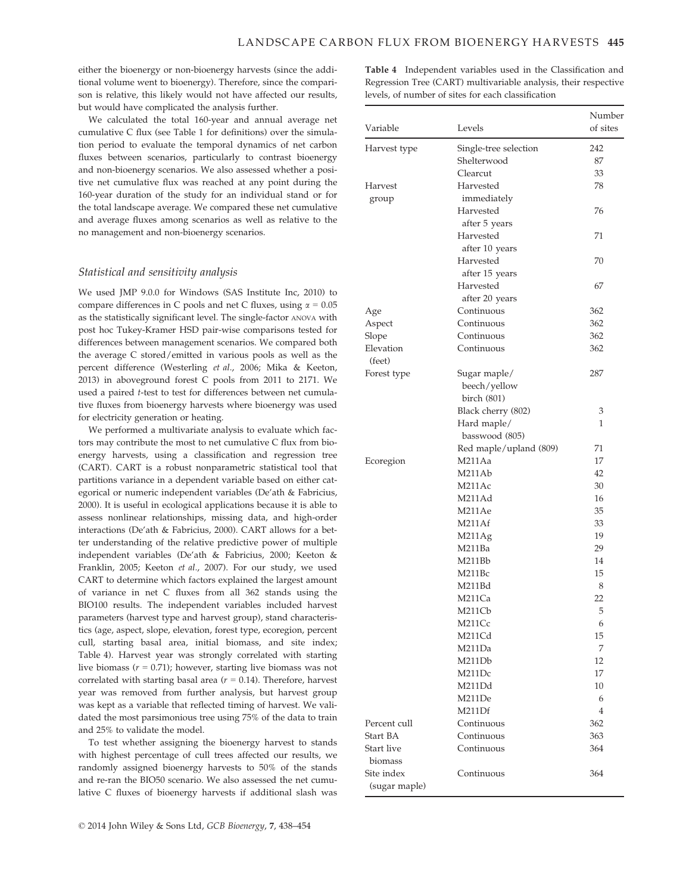either the bioenergy or non-bioenergy harvests (since the additional volume went to bioenergy). Therefore, since the comparison is relative, this likely would not have affected our results, but would have complicated the analysis further.

We calculated the total 160-year and annual average net cumulative C flux (see Table 1 for definitions) over the simulation period to evaluate the temporal dynamics of net carbon fluxes between scenarios, particularly to contrast bioenergy and non-bioenergy scenarios. We also assessed whether a positive net cumulative flux was reached at any point during the 160-year duration of the study for an individual stand or for the total landscape average. We compared these net cumulative and average fluxes among scenarios as well as relative to the no management and non-bioenergy scenarios.

## Statistical and sensitivity analysis

We used JMP 9.0.0 for Windows (SAS Institute Inc, 2010) to compare differences in C pools and net C fluxes, using  $\alpha = 0.05$ as the statistically significant level. The single-factor ANOVA with post hoc Tukey-Kramer HSD pair-wise comparisons tested for differences between management scenarios. We compared both the average C stored/emitted in various pools as well as the percent difference (Westerling et al., 2006; Mika & Keeton, 2013) in aboveground forest C pools from 2011 to 2171. We used a paired t-test to test for differences between net cumulative fluxes from bioenergy harvests where bioenergy was used for electricity generation or heating.

We performed a multivariate analysis to evaluate which factors may contribute the most to net cumulative C flux from bioenergy harvests, using a classification and regression tree (CART). CART is a robust nonparametric statistical tool that partitions variance in a dependent variable based on either categorical or numeric independent variables (De'ath & Fabricius, 2000). It is useful in ecological applications because it is able to assess nonlinear relationships, missing data, and high-order interactions (De'ath & Fabricius, 2000). CART allows for a better understanding of the relative predictive power of multiple independent variables (De'ath & Fabricius, 2000; Keeton & Franklin, 2005; Keeton et al., 2007). For our study, we used CART to determine which factors explained the largest amount of variance in net C fluxes from all 362 stands using the BIO100 results. The independent variables included harvest parameters (harvest type and harvest group), stand characteristics (age, aspect, slope, elevation, forest type, ecoregion, percent cull, starting basal area, initial biomass, and site index; Table 4). Harvest year was strongly correlated with starting live biomass ( $r = 0.71$ ); however, starting live biomass was not correlated with starting basal area ( $r = 0.14$ ). Therefore, harvest year was removed from further analysis, but harvest group was kept as a variable that reflected timing of harvest. We validated the most parsimonious tree using 75% of the data to train and 25% to validate the model.

To test whether assigning the bioenergy harvest to stands with highest percentage of cull trees affected our results, we randomly assigned bioenergy harvests to 50% of the stands and re-ran the BIO50 scenario. We also assessed the net cumulative C fluxes of bioenergy harvests if additional slash was Table 4 Independent variables used in the Classification and Regression Tree (CART) multivariable analysis, their respective levels, of number of sites for each classification

| Variable                    | Levels                 | Number<br>of sites |
|-----------------------------|------------------------|--------------------|
| Harvest type                | Single-tree selection  | 242                |
|                             | Shelterwood            | 87                 |
|                             | Clearcut               | 33                 |
| Harvest                     | Harvested              | 78                 |
| group                       | immediately            |                    |
|                             | Harvested              | 76                 |
|                             | after 5 years          |                    |
|                             | Harvested              | 71                 |
|                             | after 10 years         |                    |
|                             | Harvested              | 70                 |
|                             | after 15 years         |                    |
|                             | Harvested              | 67                 |
|                             | after 20 years         |                    |
| Age                         | Continuous             | 362                |
| Aspect                      | Continuous             | 362                |
| Slope                       | Continuous             | 362                |
| Elevation                   | Continuous             | 362                |
| (feet)                      |                        |                    |
| Forest type                 | Sugar maple/           | 287                |
|                             | beech/yellow           |                    |
|                             | birch (801)            |                    |
|                             | Black cherry (802)     | 3                  |
|                             | Hard maple/            | 1                  |
|                             | basswood (805)         |                    |
|                             | Red maple/upland (809) | 71                 |
| Ecoregion                   | M211Aa                 | 17                 |
|                             | M211Ab                 | 42                 |
|                             | M211Ac                 | 30                 |
|                             | M211Ad                 | 16                 |
|                             | M211Ae                 | 35                 |
|                             | M211Af                 | 33                 |
|                             | M211Ag                 | 19                 |
|                             | M211Ba                 | 29                 |
|                             | M211Bb                 | 14                 |
|                             | M211Bc                 | 15                 |
|                             | M211Bd                 | 8                  |
|                             | M211Ca                 | 22                 |
|                             | M211Cb                 | 5                  |
|                             | M211Cc                 | 6                  |
|                             | M211Cd                 | 15                 |
|                             | M211Da                 | 7                  |
|                             | M211Db                 | 12                 |
|                             | M211Dc                 | 17                 |
|                             | M211Dd                 | 10                 |
|                             | M211De                 | 6                  |
|                             | M211Df                 | $\overline{4}$     |
| Percent cull                | Continuous             | 362                |
| Start BA                    | Continuous             | 363                |
| Start live                  | Continuous             | 364                |
| biomass                     |                        |                    |
| Site index<br>(sugar maple) | Continuous             | 364                |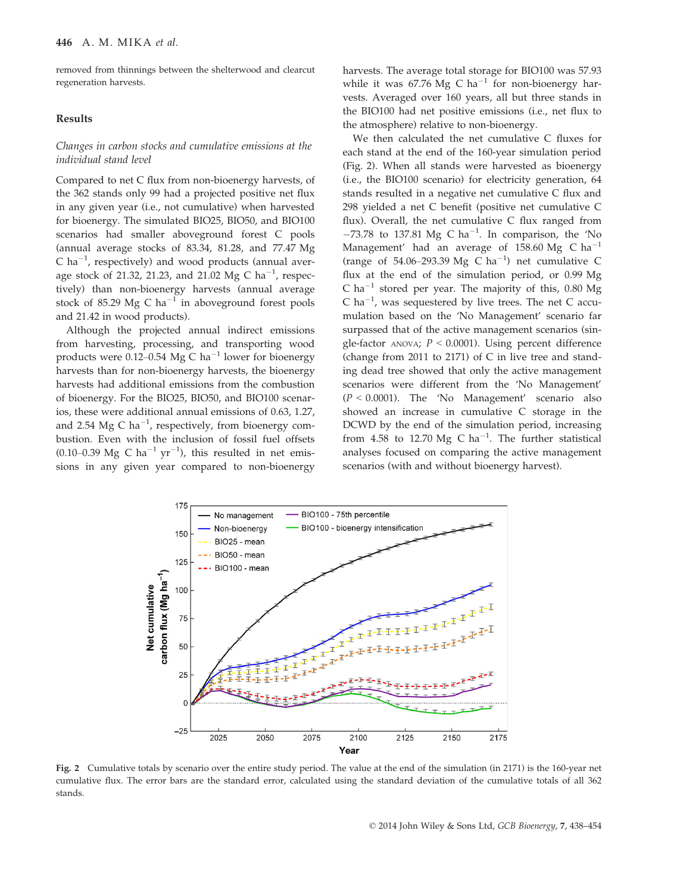removed from thinnings between the shelterwood and clearcut regeneration harvests.

## Results

## Changes in carbon stocks and cumulative emissions at the individual stand level

Compared to net C flux from non-bioenergy harvests, of the 362 stands only 99 had a projected positive net flux in any given year (i.e., not cumulative) when harvested for bioenergy. The simulated BIO25, BIO50, and BIO100 scenarios had smaller aboveground forest C pools (annual average stocks of 83.34, 81.28, and 77.47 Mg C ha<sup> $-1$ </sup>, respectively) and wood products (annual average stock of 21.32, 21.23, and 21.02 Mg C ha<sup>-1</sup>, respectively) than non-bioenergy harvests (annual average stock of 85.29 Mg C ha<sup>-1</sup> in aboveground forest pools and 21.42 in wood products).

Although the projected annual indirect emissions from harvesting, processing, and transporting wood products were 0.12–0.54 Mg C ha<sup>-1</sup> lower for bioenergy harvests than for non-bioenergy harvests, the bioenergy harvests had additional emissions from the combustion of bioenergy. For the BIO25, BIO50, and BIO100 scenarios, these were additional annual emissions of 0.63, 1.27, and 2.54 Mg C ha<sup>-1</sup>, respectively, from bioenergy combustion. Even with the inclusion of fossil fuel offsets (0.10–0.39 Mg C ha<sup>-1</sup> yr<sup>-1</sup>), this resulted in net emissions in any given year compared to non-bioenergy harvests. The average total storage for BIO100 was 57.93 while it was 67.76 Mg C ha<sup>-1</sup> for non-bioenergy harvests. Averaged over 160 years, all but three stands in the BIO100 had net positive emissions (i.e., net flux to the atmosphere) relative to non-bioenergy.

We then calculated the net cumulative C fluxes for each stand at the end of the 160-year simulation period (Fig. 2). When all stands were harvested as bioenergy (i.e., the BIO100 scenario) for electricity generation, 64 stands resulted in a negative net cumulative C flux and 298 yielded a net C benefit (positive net cumulative C flux). Overall, the net cumulative C flux ranged from  $-73.78$  to 137.81 Mg C ha<sup>-1</sup>. In comparison, the 'No Management' had an average of 158.60 Mg C ha<sup>-1</sup> (range of 54.06–293.39 Mg C ha<sup>-1</sup>) net cumulative C flux at the end of the simulation period, or 0.99 Mg C ha<sup>-1</sup> stored per year. The majority of this, 0.80 Mg C ha<sup>-1</sup>, was sequestered by live trees. The net C accumulation based on the 'No Management' scenario far surpassed that of the active management scenarios (single-factor ANOVA;  $P < 0.0001$ ). Using percent difference (change from 2011 to 2171) of C in live tree and standing dead tree showed that only the active management scenarios were different from the 'No Management'  $(P < 0.0001)$ . The 'No Management' scenario also showed an increase in cumulative C storage in the DCWD by the end of the simulation period, increasing from 4.58 to 12.70 Mg C  $ha^{-1}$ . The further statistical analyses focused on comparing the active management scenarios (with and without bioenergy harvest).



Fig. 2 Cumulative totals by scenario over the entire study period. The value at the end of the simulation (in 2171) is the 160-year net cumulative flux. The error bars are the standard error, calculated using the standard deviation of the cumulative totals of all 362 stands.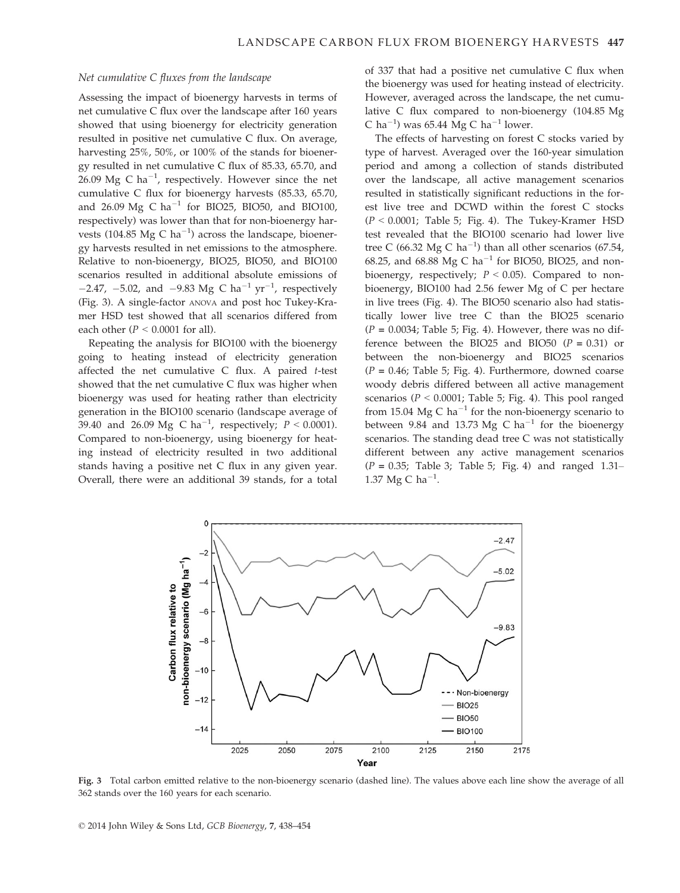### Net cumulative C fluxes from the landscape

Assessing the impact of bioenergy harvests in terms of net cumulative C flux over the landscape after 160 years showed that using bioenergy for electricity generation resulted in positive net cumulative C flux. On average, harvesting 25%, 50%, or 100% of the stands for bioenergy resulted in net cumulative C flux of 85.33, 65.70, and 26.09 Mg C ha $^{-1}$ , respectively. However since the net cumulative C flux for bioenergy harvests (85.33, 65.70, and 26.09 Mg C ha<sup>-1</sup> for BIO25, BIO50, and BIO100, respectively) was lower than that for non-bioenergy harvests (104.85  $Mg$  C ha<sup>-1</sup>) across the landscape, bioenergy harvests resulted in net emissions to the atmosphere. Relative to non-bioenergy, BIO25, BIO50, and BIO100 scenarios resulted in additional absolute emissions of  $-2.47$ ,  $-5.02$ , and  $-9.83$  Mg C ha<sup>-1</sup> yr<sup>-1</sup>, respectively (Fig. 3). A single-factor ANOVA and post hoc Tukey-Kramer HSD test showed that all scenarios differed from each other ( $P < 0.0001$  for all).

Repeating the analysis for BIO100 with the bioenergy going to heating instead of electricity generation affected the net cumulative C flux. A paired t-test showed that the net cumulative C flux was higher when bioenergy was used for heating rather than electricity generation in the BIO100 scenario (landscape average of 39.40 and 26.09 Mg C ha<sup>-1</sup>, respectively;  $P < 0.0001$ ). Compared to non-bioenergy, using bioenergy for heating instead of electricity resulted in two additional stands having a positive net C flux in any given year. Overall, there were an additional 39 stands, for a total of 337 that had a positive net cumulative C flux when the bioenergy was used for heating instead of electricity. However, averaged across the landscape, the net cumulative C flux compared to non-bioenergy (104.85 Mg C ha<sup>-1</sup>) was 65.44 Mg C ha<sup>-1</sup> lower.

The effects of harvesting on forest C stocks varied by type of harvest. Averaged over the 160-year simulation period and among a collection of stands distributed over the landscape, all active management scenarios resulted in statistically significant reductions in the forest live tree and DCWD within the forest C stocks  $(P < 0.0001$ ; Table 5; Fig. 4). The Tukey-Kramer HSD test revealed that the BIO100 scenario had lower live tree C (66.32 Mg C ha<sup>-1</sup>) than all other scenarios (67.54, 68.25, and 68.88 Mg C ha<sup>-1</sup> for BIO50, BIO25, and nonbioenergy, respectively;  $P < 0.05$ ). Compared to nonbioenergy, BIO100 had 2.56 fewer Mg of C per hectare in live trees (Fig. 4). The BIO50 scenario also had statistically lower live tree C than the BIO25 scenario  $(P = 0.0034;$  Table 5; Fig. 4). However, there was no difference between the BIO25 and BIO50 ( $P = 0.31$ ) or between the non-bioenergy and BIO25 scenarios  $(P = 0.46;$  Table 5; Fig. 4). Furthermore, downed coarse woody debris differed between all active management scenarios ( $P < 0.0001$ ; Table 5; Fig. 4). This pool ranged from 15.04 Mg C ha<sup>-1</sup> for the non-bioenergy scenario to between 9.84 and 13.73 Mg C ha<sup>-1</sup> for the bioenergy scenarios. The standing dead tree C was not statistically different between any active management scenarios  $(P = 0.35;$  Table 3; Table 5; Fig. 4) and ranged 1.31– 1.37 Mg C ha<sup>-1</sup>.



Fig. 3 Total carbon emitted relative to the non-bioenergy scenario (dashed line). The values above each line show the average of all 362 stands over the 160 years for each scenario.

© 2014 John Wiley & Sons Ltd, GCB Bioenergy, 7, 438–454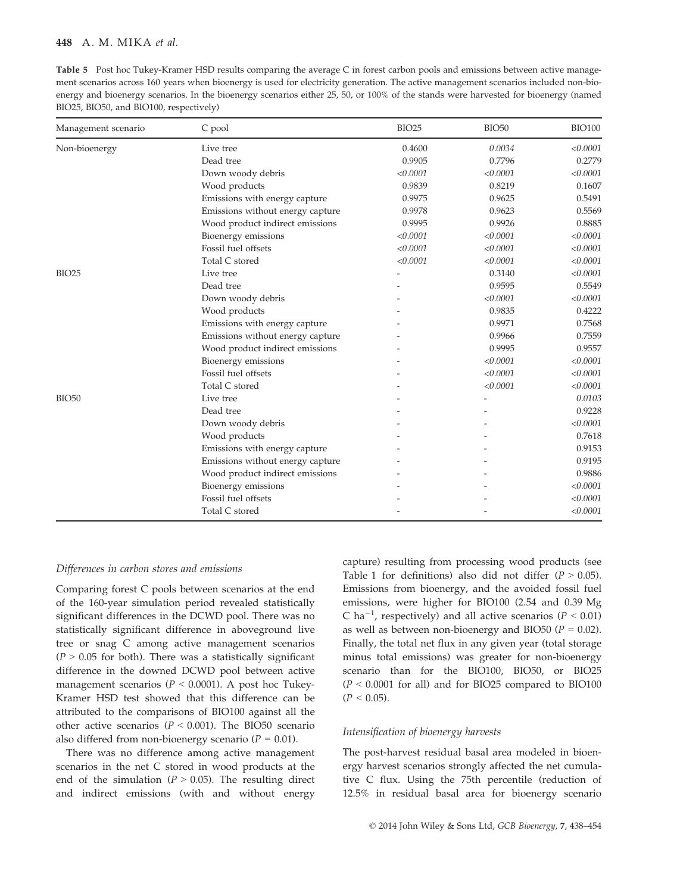Table 5 Post hoc Tukey-Kramer HSD results comparing the average C in forest carbon pools and emissions between active management scenarios across 160 years when bioenergy is used for electricity generation. The active management scenarios included non-bioenergy and bioenergy scenarios. In the bioenergy scenarios either 25, 50, or 100% of the stands were harvested for bioenergy (named BIO25, BIO50, and BIO100, respectively)

| Management scenario | C pool                           | <b>BIO25</b> | <b>BIO50</b> | <b>BIO100</b> |
|---------------------|----------------------------------|--------------|--------------|---------------|
| Non-bioenergy       | Live tree                        | 0.4600       | 0.0034       | < 0.0001      |
|                     | Dead tree                        | 0.9905       | 0.7796       | 0.2779        |
|                     | Down woody debris                | < 0.0001     | < 0.0001     | < 0.0001      |
|                     | Wood products                    | 0.9839       | 0.8219       | 0.1607        |
|                     | Emissions with energy capture    | 0.9975       | 0.9625       | 0.5491        |
|                     | Emissions without energy capture | 0.9978       | 0.9623       | 0.5569        |
|                     | Wood product indirect emissions  | 0.9995       | 0.9926       | 0.8885        |
|                     | Bioenergy emissions              | < 0.0001     | < 0.0001     | < 0.0001      |
|                     | Fossil fuel offsets              | < 0.0001     | < 0.0001     | < 0.0001      |
|                     | Total C stored                   | < 0.0001     | < 0.0001     | < 0.0001      |
| <b>BIO25</b>        | Live tree                        |              | 0.3140       | < 0.0001      |
|                     | Dead tree                        |              | 0.9595       | 0.5549        |
|                     | Down woody debris                |              | < 0.0001     | < 0.0001      |
|                     | Wood products                    |              | 0.9835       | 0.4222        |
|                     | Emissions with energy capture    |              | 0.9971       | 0.7568        |
|                     | Emissions without energy capture |              | 0.9966       | 0.7559        |
|                     | Wood product indirect emissions  |              | 0.9995       | 0.9557        |
|                     | Bioenergy emissions              |              | < 0.0001     | < 0.0001      |
|                     | Fossil fuel offsets              |              | < 0.0001     | < 0.0001      |
|                     | Total C stored                   |              | < 0.0001     | < 0.0001      |
| <b>BIO50</b>        | Live tree                        |              |              | 0.0103        |
|                     | Dead tree                        |              |              | 0.9228        |
|                     | Down woody debris                |              |              | < 0.0001      |
|                     | Wood products                    |              |              | 0.7618        |
|                     | Emissions with energy capture    |              |              | 0.9153        |
|                     | Emissions without energy capture |              |              | 0.9195        |
|                     | Wood product indirect emissions  |              |              | 0.9886        |
|                     | Bioenergy emissions              |              |              | < 0.0001      |
|                     | Fossil fuel offsets              |              |              | < 0.0001      |
|                     | Total C stored                   |              |              | < 0.0001      |

## Differences in carbon stores and emissions

Comparing forest C pools between scenarios at the end of the 160-year simulation period revealed statistically significant differences in the DCWD pool. There was no statistically significant difference in aboveground live tree or snag C among active management scenarios  $(P > 0.05$  for both). There was a statistically significant difference in the downed DCWD pool between active management scenarios ( $P < 0.0001$ ). A post hoc Tukey-Kramer HSD test showed that this difference can be attributed to the comparisons of BIO100 against all the other active scenarios ( $P < 0.001$ ). The BIO50 scenario also differed from non-bioenergy scenario ( $P = 0.01$ ).

There was no difference among active management scenarios in the net C stored in wood products at the end of the simulation ( $P > 0.05$ ). The resulting direct and indirect emissions (with and without energy capture) resulting from processing wood products (see Table 1 for definitions) also did not differ ( $P > 0.05$ ). Emissions from bioenergy, and the avoided fossil fuel emissions, were higher for BIO100 (2.54 and 0.39 Mg C ha<sup>-1</sup>, respectively) and all active scenarios ( $P < 0.01$ ) as well as between non-bioenergy and BIO50 ( $P = 0.02$ ). Finally, the total net flux in any given year (total storage minus total emissions) was greater for non-bioenergy scenario than for the BIO100, BIO50, or BIO25  $(P < 0.0001$  for all) and for BIO25 compared to BIO100  $(P < 0.05)$ .

## Intensification of bioenergy harvests

The post-harvest residual basal area modeled in bioenergy harvest scenarios strongly affected the net cumulative C flux. Using the 75th percentile (reduction of 12.5% in residual basal area for bioenergy scenario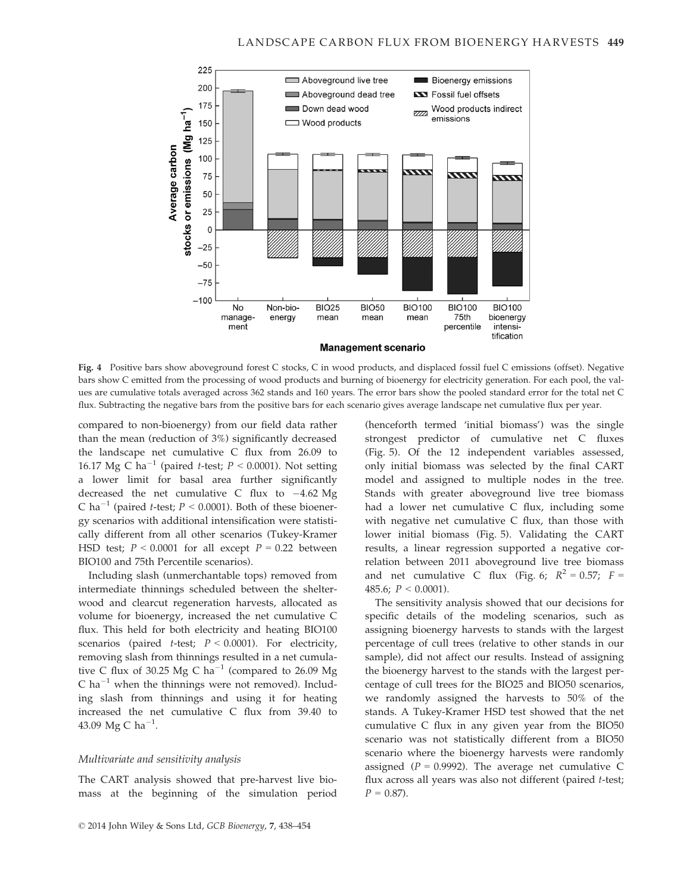

Fig. 4 Positive bars show aboveground forest C stocks, C in wood products, and displaced fossil fuel C emissions (offset). Negative bars show C emitted from the processing of wood products and burning of bioenergy for electricity generation. For each pool, the values are cumulative totals averaged across 362 stands and 160 years. The error bars show the pooled standard error for the total net C flux. Subtracting the negative bars from the positive bars for each scenario gives average landscape net cumulative flux per year.

compared to non-bioenergy) from our field data rather than the mean (reduction of 3%) significantly decreased the landscape net cumulative C flux from 26.09 to 16.17 Mg C ha<sup>-1</sup> (paired *t*-test;  $P < 0.0001$ ). Not setting a lower limit for basal area further significantly decreased the net cumulative C flux to  $-4.62 \text{ Mg}$ C ha<sup>-1</sup> (paired *t*-test;  $P < 0.0001$ ). Both of these bioenergy scenarios with additional intensification were statistically different from all other scenarios (Tukey-Kramer HSD test;  $P < 0.0001$  for all except  $P = 0.22$  between BIO100 and 75th Percentile scenarios).

Including slash (unmerchantable tops) removed from intermediate thinnings scheduled between the shelterwood and clearcut regeneration harvests, allocated as volume for bioenergy, increased the net cumulative C flux. This held for both electricity and heating BIO100 scenarios (paired *t*-test;  $P < 0.0001$ ). For electricity, removing slash from thinnings resulted in a net cumulative C flux of 30.25 Mg C ha<sup>-1</sup> (compared to 26.09 Mg  $C$  ha<sup>-1</sup> when the thinnings were not removed). Including slash from thinnings and using it for heating increased the net cumulative C flux from 39.40 to 43.09 Mg C ha $^{-1}$ .

## Multivariate and sensitivity analysis

The CART analysis showed that pre-harvest live biomass at the beginning of the simulation period (henceforth termed 'initial biomass') was the single strongest predictor of cumulative net C fluxes (Fig. 5). Of the 12 independent variables assessed, only initial biomass was selected by the final CART model and assigned to multiple nodes in the tree. Stands with greater aboveground live tree biomass had a lower net cumulative C flux, including some with negative net cumulative C flux, than those with lower initial biomass (Fig. 5). Validating the CART results, a linear regression supported a negative correlation between 2011 aboveground live tree biomass and net cumulative C flux (Fig. 6;  $R^2 = 0.57$ ;  $F =$ 485.6;  $P < 0.0001$ ).

The sensitivity analysis showed that our decisions for specific details of the modeling scenarios, such as assigning bioenergy harvests to stands with the largest percentage of cull trees (relative to other stands in our sample), did not affect our results. Instead of assigning the bioenergy harvest to the stands with the largest percentage of cull trees for the BIO25 and BIO50 scenarios, we randomly assigned the harvests to 50% of the stands. A Tukey-Kramer HSD test showed that the net cumulative C flux in any given year from the BIO50 scenario was not statistically different from a BIO50 scenario where the bioenergy harvests were randomly assigned ( $P = 0.9992$ ). The average net cumulative C flux across all years was also not different (paired t-test;  $P = 0.87$ .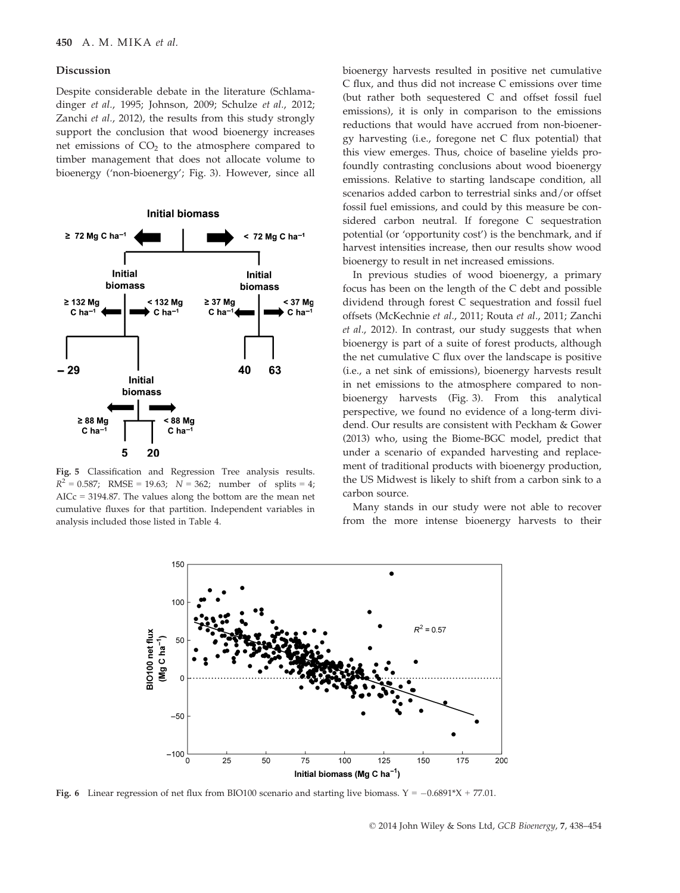#### Discussion

Despite considerable debate in the literature (Schlamadinger et al., 1995; Johnson, 2009; Schulze et al., 2012; Zanchi et al., 2012), the results from this study strongly support the conclusion that wood bioenergy increases net emissions of  $CO<sub>2</sub>$  to the atmosphere compared to timber management that does not allocate volume to bioenergy ('non-bioenergy'; Fig. 3). However, since all



Fig. 5 Classification and Regression Tree analysis results.  $R^2 = 0.587$ ; RMSE = 19.63;  $N = 362$ ; number of splits = 4; AICc = 3194.87. The values along the bottom are the mean net cumulative fluxes for that partition. Independent variables in analysis included those listed in Table 4.

bioenergy harvests resulted in positive net cumulative C flux, and thus did not increase C emissions over time (but rather both sequestered C and offset fossil fuel emissions), it is only in comparison to the emissions reductions that would have accrued from non-bioenergy harvesting (i.e., foregone net C flux potential) that this view emerges. Thus, choice of baseline yields profoundly contrasting conclusions about wood bioenergy emissions. Relative to starting landscape condition, all scenarios added carbon to terrestrial sinks and/or offset fossil fuel emissions, and could by this measure be considered carbon neutral. If foregone C sequestration potential (or 'opportunity cost') is the benchmark, and if harvest intensities increase, then our results show wood bioenergy to result in net increased emissions.

In previous studies of wood bioenergy, a primary focus has been on the length of the C debt and possible dividend through forest C sequestration and fossil fuel offsets (McKechnie et al., 2011; Routa et al., 2011; Zanchi et al., 2012). In contrast, our study suggests that when bioenergy is part of a suite of forest products, although the net cumulative C flux over the landscape is positive (i.e., a net sink of emissions), bioenergy harvests result in net emissions to the atmosphere compared to nonbioenergy harvests (Fig. 3). From this analytical perspective, we found no evidence of a long-term dividend. Our results are consistent with Peckham & Gower (2013) who, using the Biome-BGC model, predict that under a scenario of expanded harvesting and replacement of traditional products with bioenergy production, the US Midwest is likely to shift from a carbon sink to a carbon source.

Many stands in our study were not able to recover from the more intense bioenergy harvests to their



Fig. 6 Linear regression of net flux from BIO100 scenario and starting live biomass.  $Y = -0.6891*X + 77.01$ .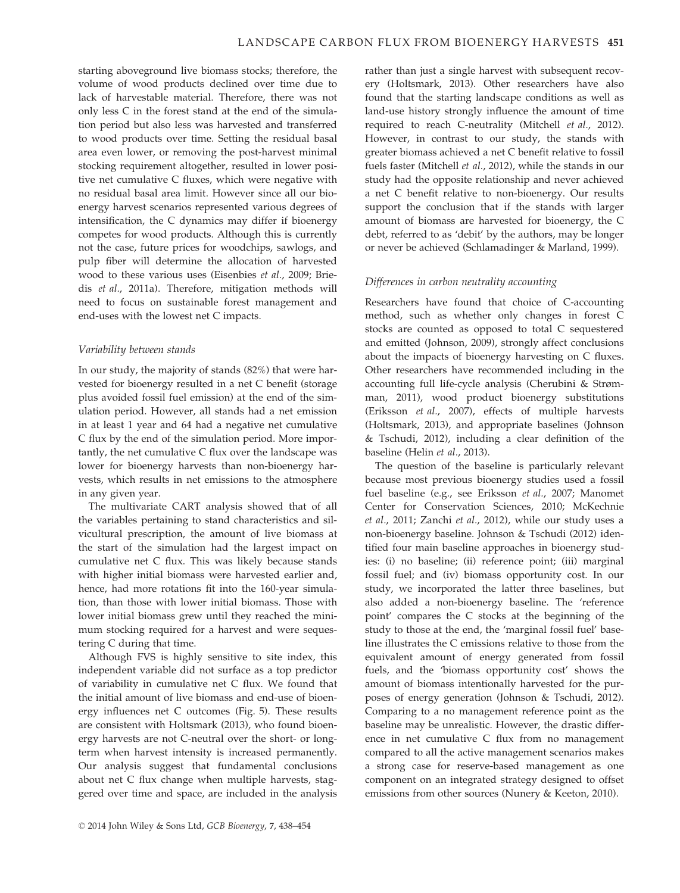starting aboveground live biomass stocks; therefore, the volume of wood products declined over time due to lack of harvestable material. Therefore, there was not only less C in the forest stand at the end of the simulation period but also less was harvested and transferred to wood products over time. Setting the residual basal area even lower, or removing the post-harvest minimal stocking requirement altogether, resulted in lower positive net cumulative C fluxes, which were negative with no residual basal area limit. However since all our bioenergy harvest scenarios represented various degrees of intensification, the C dynamics may differ if bioenergy competes for wood products. Although this is currently not the case, future prices for woodchips, sawlogs, and pulp fiber will determine the allocation of harvested wood to these various uses (Eisenbies et al., 2009; Briedis et al., 2011a). Therefore, mitigation methods will need to focus on sustainable forest management and end-uses with the lowest net C impacts.

## Variability between stands

In our study, the majority of stands (82%) that were harvested for bioenergy resulted in a net C benefit (storage plus avoided fossil fuel emission) at the end of the simulation period. However, all stands had a net emission in at least 1 year and 64 had a negative net cumulative C flux by the end of the simulation period. More importantly, the net cumulative C flux over the landscape was lower for bioenergy harvests than non-bioenergy harvests, which results in net emissions to the atmosphere in any given year.

The multivariate CART analysis showed that of all the variables pertaining to stand characteristics and silvicultural prescription, the amount of live biomass at the start of the simulation had the largest impact on cumulative net C flux. This was likely because stands with higher initial biomass were harvested earlier and, hence, had more rotations fit into the 160-year simulation, than those with lower initial biomass. Those with lower initial biomass grew until they reached the minimum stocking required for a harvest and were sequestering C during that time.

Although FVS is highly sensitive to site index, this independent variable did not surface as a top predictor of variability in cumulative net C flux. We found that the initial amount of live biomass and end-use of bioenergy influences net C outcomes (Fig. 5). These results are consistent with Holtsmark (2013), who found bioenergy harvests are not C-neutral over the short- or longterm when harvest intensity is increased permanently. Our analysis suggest that fundamental conclusions about net C flux change when multiple harvests, staggered over time and space, are included in the analysis rather than just a single harvest with subsequent recovery (Holtsmark, 2013). Other researchers have also found that the starting landscape conditions as well as land-use history strongly influence the amount of time required to reach C-neutrality (Mitchell et al., 2012). However, in contrast to our study, the stands with greater biomass achieved a net C benefit relative to fossil fuels faster (Mitchell et al., 2012), while the stands in our study had the opposite relationship and never achieved a net C benefit relative to non-bioenergy. Our results support the conclusion that if the stands with larger amount of biomass are harvested for bioenergy, the C debt, referred to as 'debit' by the authors, may be longer or never be achieved (Schlamadinger & Marland, 1999).

## Differences in carbon neutrality accounting

Researchers have found that choice of C-accounting method, such as whether only changes in forest C stocks are counted as opposed to total C sequestered and emitted (Johnson, 2009), strongly affect conclusions about the impacts of bioenergy harvesting on C fluxes. Other researchers have recommended including in the accounting full life-cycle analysis (Cherubini & Strømman, 2011), wood product bioenergy substitutions (Eriksson et al., 2007), effects of multiple harvests (Holtsmark, 2013), and appropriate baselines (Johnson & Tschudi, 2012), including a clear definition of the baseline (Helin et al., 2013).

The question of the baseline is particularly relevant because most previous bioenergy studies used a fossil fuel baseline (e.g., see Eriksson et al., 2007; Manomet Center for Conservation Sciences, 2010; McKechnie et al., 2011; Zanchi et al., 2012), while our study uses a non-bioenergy baseline. Johnson & Tschudi (2012) identified four main baseline approaches in bioenergy studies: (i) no baseline; (ii) reference point; (iii) marginal fossil fuel; and (iv) biomass opportunity cost. In our study, we incorporated the latter three baselines, but also added a non-bioenergy baseline. The 'reference point' compares the C stocks at the beginning of the study to those at the end, the 'marginal fossil fuel' baseline illustrates the C emissions relative to those from the equivalent amount of energy generated from fossil fuels, and the 'biomass opportunity cost' shows the amount of biomass intentionally harvested for the purposes of energy generation (Johnson & Tschudi, 2012). Comparing to a no management reference point as the baseline may be unrealistic. However, the drastic difference in net cumulative C flux from no management compared to all the active management scenarios makes a strong case for reserve-based management as one component on an integrated strategy designed to offset emissions from other sources (Nunery & Keeton, 2010).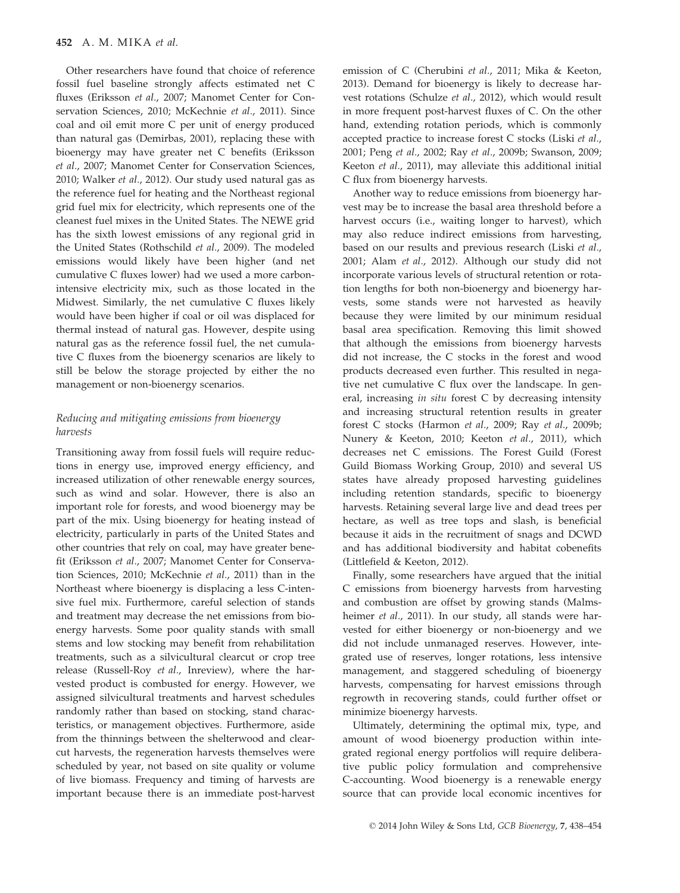Other researchers have found that choice of reference fossil fuel baseline strongly affects estimated net C fluxes (Eriksson et al., 2007; Manomet Center for Conservation Sciences, 2010; McKechnie et al., 2011). Since coal and oil emit more C per unit of energy produced than natural gas (Demirbas, 2001), replacing these with bioenergy may have greater net C benefits (Eriksson et al., 2007; Manomet Center for Conservation Sciences, 2010; Walker et al., 2012). Our study used natural gas as the reference fuel for heating and the Northeast regional grid fuel mix for electricity, which represents one of the cleanest fuel mixes in the United States. The NEWE grid has the sixth lowest emissions of any regional grid in the United States (Rothschild et al., 2009). The modeled emissions would likely have been higher (and net cumulative C fluxes lower) had we used a more carbonintensive electricity mix, such as those located in the Midwest. Similarly, the net cumulative C fluxes likely would have been higher if coal or oil was displaced for thermal instead of natural gas. However, despite using natural gas as the reference fossil fuel, the net cumulative C fluxes from the bioenergy scenarios are likely to still be below the storage projected by either the no management or non-bioenergy scenarios.

## Reducing and mitigating emissions from bioenergy harvests

Transitioning away from fossil fuels will require reductions in energy use, improved energy efficiency, and increased utilization of other renewable energy sources, such as wind and solar. However, there is also an important role for forests, and wood bioenergy may be part of the mix. Using bioenergy for heating instead of electricity, particularly in parts of the United States and other countries that rely on coal, may have greater benefit (Eriksson et al., 2007; Manomet Center for Conservation Sciences, 2010; McKechnie et al., 2011) than in the Northeast where bioenergy is displacing a less C-intensive fuel mix. Furthermore, careful selection of stands and treatment may decrease the net emissions from bioenergy harvests. Some poor quality stands with small stems and low stocking may benefit from rehabilitation treatments, such as a silvicultural clearcut or crop tree release (Russell-Roy et al., Inreview), where the harvested product is combusted for energy. However, we assigned silvicultural treatments and harvest schedules randomly rather than based on stocking, stand characteristics, or management objectives. Furthermore, aside from the thinnings between the shelterwood and clearcut harvests, the regeneration harvests themselves were scheduled by year, not based on site quality or volume of live biomass. Frequency and timing of harvests are important because there is an immediate post-harvest emission of C (Cherubini et al., 2011; Mika & Keeton, 2013). Demand for bioenergy is likely to decrease harvest rotations (Schulze et al., 2012), which would result in more frequent post-harvest fluxes of C. On the other hand, extending rotation periods, which is commonly accepted practice to increase forest C stocks (Liski et al., 2001; Peng et al., 2002; Ray et al., 2009b; Swanson, 2009; Keeton et al., 2011), may alleviate this additional initial C flux from bioenergy harvests.

Another way to reduce emissions from bioenergy harvest may be to increase the basal area threshold before a harvest occurs (i.e., waiting longer to harvest), which may also reduce indirect emissions from harvesting, based on our results and previous research (Liski et al., 2001; Alam et al., 2012). Although our study did not incorporate various levels of structural retention or rotation lengths for both non-bioenergy and bioenergy harvests, some stands were not harvested as heavily because they were limited by our minimum residual basal area specification. Removing this limit showed that although the emissions from bioenergy harvests did not increase, the C stocks in the forest and wood products decreased even further. This resulted in negative net cumulative C flux over the landscape. In general, increasing in situ forest C by decreasing intensity and increasing structural retention results in greater forest C stocks (Harmon et al., 2009; Ray et al., 2009b; Nunery & Keeton, 2010; Keeton et al., 2011), which decreases net C emissions. The Forest Guild (Forest Guild Biomass Working Group, 2010) and several US states have already proposed harvesting guidelines including retention standards, specific to bioenergy harvests. Retaining several large live and dead trees per hectare, as well as tree tops and slash, is beneficial because it aids in the recruitment of snags and DCWD and has additional biodiversity and habitat cobenefits (Littlefield & Keeton, 2012).

Finally, some researchers have argued that the initial C emissions from bioenergy harvests from harvesting and combustion are offset by growing stands (Malmsheimer et al., 2011). In our study, all stands were harvested for either bioenergy or non-bioenergy and we did not include unmanaged reserves. However, integrated use of reserves, longer rotations, less intensive management, and staggered scheduling of bioenergy harvests, compensating for harvest emissions through regrowth in recovering stands, could further offset or minimize bioenergy harvests.

Ultimately, determining the optimal mix, type, and amount of wood bioenergy production within integrated regional energy portfolios will require deliberative public policy formulation and comprehensive C-accounting. Wood bioenergy is a renewable energy source that can provide local economic incentives for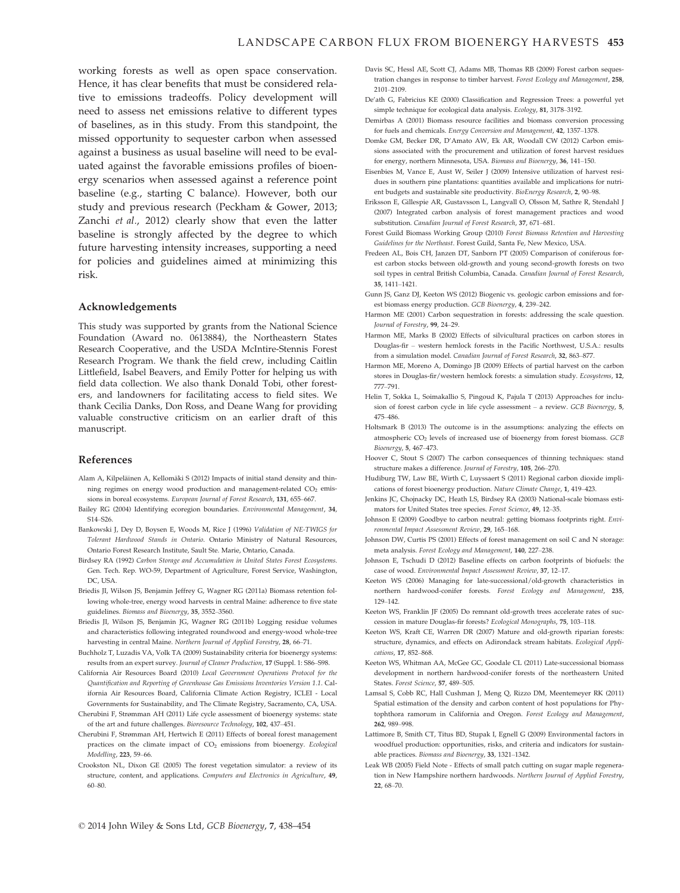working forests as well as open space conservation. Hence, it has clear benefits that must be considered relative to emissions tradeoffs. Policy development will need to assess net emissions relative to different types of baselines, as in this study. From this standpoint, the missed opportunity to sequester carbon when assessed against a business as usual baseline will need to be evaluated against the favorable emissions profiles of bioenergy scenarios when assessed against a reference point baseline (e.g., starting C balance). However, both our study and previous research (Peckham & Gower, 2013; Zanchi et al., 2012) clearly show that even the latter baseline is strongly affected by the degree to which future harvesting intensity increases, supporting a need for policies and guidelines aimed at minimizing this risk.

#### Acknowledgements

This study was supported by grants from the National Science Foundation (Award no. 0613884), the Northeastern States Research Cooperative, and the USDA McIntire-Stennis Forest Research Program. We thank the field crew, including Caitlin Littlefield, Isabel Beavers, and Emily Potter for helping us with field data collection. We also thank Donald Tobi, other foresters, and landowners for facilitating access to field sites. We thank Cecilia Danks, Don Ross, and Deane Wang for providing valuable constructive criticism on an earlier draft of this manuscript.

#### References

- Alam A, Kilpeläinen A, Kellomäki S (2012) Impacts of initial stand density and thinning regimes on energy wood production and management-related CO<sub>2</sub> emissions in boreal ecosystems. European Journal of Forest Research, 131, 655–667.
- Bailey RG (2004) Identifying ecoregion boundaries. Environmental Management, 34, S14–S26.
- Bankowski J, Dey D, Boysen E, Woods M, Rice J (1996) Validation of NE-TWIGS for Tolerant Hardwood Stands in Ontario. Ontario Ministry of Natural Resources, Ontario Forest Research Institute, Sault Ste. Marie, Ontario, Canada.
- Birdsey RA (1992) Carbon Storage and Accumulation in United States Forest Ecosystems. Gen. Tech. Rep. WO-59, Department of Agriculture, Forest Service, Washington, DC, USA.
- Briedis JI, Wilson JS, Benjamin Jeffrey G, Wagner RG (2011a) Biomass retention following whole-tree, energy wood harvests in central Maine: adherence to five state guidelines. Biomass and Bioenergy, 35, 3552–3560.
- Briedis JI, Wilson JS, Benjamin JG, Wagner RG (2011b) Logging residue volumes and characteristics following integrated roundwood and energy-wood whole-tree harvesting in central Maine. Northern Journal of Applied Forestry, 28, 66–71.
- Buchholz T, Luzadis VA, Volk TA (2009) Sustainability criteria for bioenergy systems: results from an expert survey. Journal of Cleaner Production, 17 (Suppl. 1: S86–S98.
- California Air Resources Board (2010) Local Government Operations Protocol for the Quantification and Reporting of Greenhouse Gas Emissions Inventories Version 1.1. California Air Resources Board, California Climate Action Registry, ICLEI - Local Governments for Sustainability, and The Climate Registry, Sacramento, CA, USA.
- Cherubini F, Strømman AH (2011) Life cycle assessment of bioenergy systems: state of the art and future challenges. Bioresource Technology, 102, 437–451.
- Cherubini F, Strømman AH, Hertwich E (2011) Effects of boreal forest management practices on the climate impact of  $CO<sub>2</sub>$  emissions from bioenergy. Ecological Modelling, 223, 59–66.
- Crookston NL, Dixon GE (2005) The forest vegetation simulator: a review of its structure, content, and applications. Computers and Electronics in Agriculture, 49, 60–80.
- Davis SC, Hessl AE, Scott CJ, Adams MB, Thomas RB (2009) Forest carbon sequestration changes in response to timber harvest. Forest Ecology and Management, 258, 2101–2109.
- De'ath G, Fabricius KE (2000) Classification and Regression Trees: a powerful yet simple technique for ecological data analysis. Ecology, 81, 3178–3192.
- Demirbas A (2001) Biomass resource facilities and biomass conversion processing for fuels and chemicals. Energy Conversion and Management, 42, 1357–1378.
- Domke GM, Becker DR, D'Amato AW, Ek AR, Woodall CW (2012) Carbon emissions associated with the procurement and utilization of forest harvest residues for energy, northern Minnesota, USA. Biomass and Bioenergy, 36, 141–150.
- Eisenbies M, Vance E, Aust W, Seiler J (2009) Intensive utilization of harvest residues in southern pine plantations: quantities available and implications for nutrient budgets and sustainable site productivity. BioEnergy Research, 2, 90–98.
- Eriksson E, Gillespie AR, Gustavsson L, Langvall O, Olsson M, Sathre R, Stendahl J (2007) Integrated carbon analysis of forest management practices and wood substitution. Canadian Journal of Forest Research, 37, 671–681.
- Forest Guild Biomass Working Group (2010) Forest Biomass Retention and Harvesting Guidelines for the Northeast. Forest Guild, Santa Fe, New Mexico, USA.
- Fredeen AL, Bois CH, Janzen DT, Sanborn PT (2005) Comparison of coniferous forest carbon stocks between old-growth and young second-growth forests on two soil types in central British Columbia, Canada. Canadian Journal of Forest Research, 35, 1411–1421.
- Gunn JS, Ganz DJ, Keeton WS (2012) Biogenic vs. geologic carbon emissions and forest biomass energy production. GCB Bioenergy, 4, 239–242.
- Harmon ME (2001) Carbon sequestration in forests: addressing the scale question. Journal of Forestry, 99, 24–29.
- Harmon ME, Marks B (2002) Effects of silvicultural practices on carbon stores in Douglas-fir – western hemlock forests in the Pacific Northwest, U.S.A.: results from a simulation model. Canadian Journal of Forest Research, 32, 863–877.
- Harmon ME, Moreno A, Domingo JB (2009) Effects of partial harvest on the carbon stores in Douglas-fir/western hemlock forests: a simulation study. Ecosystems, 12, 777–791.
- Helin T, Sokka L, Soimakallio S, Pingoud K, Pajula T (2013) Approaches for inclusion of forest carbon cycle in life cycle assessment – a review. GCB Bioenergy, 5, 475–486.
- Holtsmark B (2013) The outcome is in the assumptions: analyzing the effects on atmospheric CO<sub>2</sub> levels of increased use of bioenergy from forest biomass. GCB Bioenergy, 5, 467–473.
- Hoover C, Stout S (2007) The carbon consequences of thinning techniques: stand structure makes a difference. Journal of Forestry, 105, 266–270.
- Hudiburg TW, Law BE, Wirth C, Luyssaert S (2011) Regional carbon dioxide implications of forest bioenergy production. Nature Climate Change, 1, 419–423.
- Jenkins JC, Chojnacky DC, Heath LS, Birdsey RA (2003) National-scale biomass estimators for United States tree species. Forest Science, 49, 12–35.
- Johnson E (2009) Goodbye to carbon neutral: getting biomass footprints right. Environmental Impact Assessment Review, 29, 165–168.
- Johnson DW, Curtis PS (2001) Effects of forest management on soil C and N storage: meta analysis. Forest Ecology and Management, 140, 227–238.
- Johnson E, Tschudi D (2012) Baseline effects on carbon footprints of biofuels: the case of wood. Environmental Impact Assessment Review, 37, 12–17.
- Keeton WS (2006) Managing for late-successional/old-growth characteristics in northern hardwood-conifer forests. Forest Ecology and Management, 235, 129–142.
- Keeton WS, Franklin JF (2005) Do remnant old-growth trees accelerate rates of succession in mature Douglas-fir forests? Ecological Monographs, 75, 103–118.
- Keeton WS, Kraft CE, Warren DR (2007) Mature and old-growth riparian forests: structure, dynamics, and effects on Adirondack stream habitats. Ecological Applications, 17, 852–868.
- Keeton WS, Whitman AA, McGee GC, Goodale CL (2011) Late-successional biomass development in northern hardwood-conifer forests of the northeastern United States. Forest Science, 57, 489-505.
- Lamsal S, Cobb RC, Hall Cushman J, Meng Q, Rizzo DM, Meentemeyer RK (2011) Spatial estimation of the density and carbon content of host populations for Phytophthora ramorum in California and Oregon. Forest Ecology and Management, 262, 989–998.
- Lattimore B, Smith CT, Titus BD, Stupak I, Egnell G (2009) Environmental factors in woodfuel production: opportunities, risks, and criteria and indicators for sustainable practices. Biomass and Bioenergy, 33, 1321–1342.
- Leak WB (2005) Field Note Effects of small patch cutting on sugar maple regeneration in New Hampshire northern hardwoods. Northern Journal of Applied Forestry, 22, 68–70.